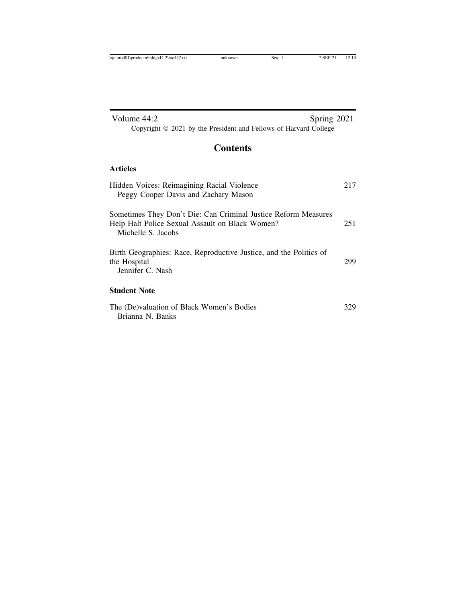| Volume 44:2<br>Spring 2021                                                                                                              |     |
|-----------------------------------------------------------------------------------------------------------------------------------------|-----|
| Copyright © 2021 by the President and Fellows of Harvard College                                                                        |     |
| <b>Contents</b>                                                                                                                         |     |
| Articles                                                                                                                                |     |
| Hidden Voices: Reimagining Racial Violence<br>Peggy Cooper Davis and Zachary Mason                                                      | 217 |
| Sometimes They Don't Die: Can Criminal Justice Reform Measures<br>Help Halt Police Sexual Assault on Black Women?<br>Michelle S. Jacobs | 251 |
| Birth Geographies: Race, Reproductive Justice, and the Politics of<br>the Hospital<br>Jennifer C. Nash                                  | 299 |
| <b>Student Note</b>                                                                                                                     |     |
| The (De)valuation of Black Women's Bodies<br>Brianna N. Banks                                                                           | 329 |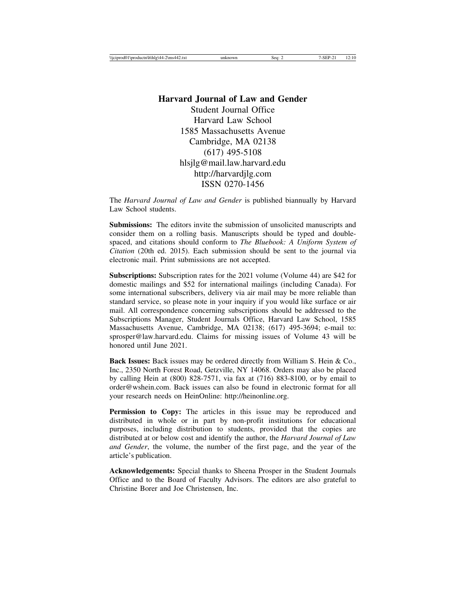## **Harvard Journal of Law and Gender** Student Journal Office Harvard Law School 1585 Massachusetts Avenue Cambridge, MA 02138 (617) 495-5108 hlsjlg@mail.law.harvard.edu http://harvardjlg.com ISSN 0270-1456

The *Harvard Journal of Law and Gender* is published biannually by Harvard Law School students.

**Submissions:** The editors invite the submission of unsolicited manuscripts and consider them on a rolling basis. Manuscripts should be typed and doublespaced, and citations should conform to *The Bluebook: A Uniform System of Citation* (20th ed. 2015). Each submission should be sent to the journal via electronic mail. Print submissions are not accepted.

**Subscriptions:** Subscription rates for the 2021 volume (Volume 44) are \$42 for domestic mailings and \$52 for international mailings (including Canada). For some international subscribers, delivery via air mail may be more reliable than standard service, so please note in your inquiry if you would like surface or air mail. All correspondence concerning subscriptions should be addressed to the Subscriptions Manager, Student Journals Office, Harvard Law School, 1585 Massachusetts Avenue, Cambridge, MA 02138; (617) 495-3694; e-mail to: sprosper@law.harvard.edu. Claims for missing issues of Volume 43 will be honored until June 2021.

**Back Issues:** Back issues may be ordered directly from William S. Hein & Co., Inc., 2350 North Forest Road, Getzville, NY 14068. Orders may also be placed by calling Hein at (800) 828-7571, via fax at (716) 883-8100, or by email to order@wshein.com. Back issues can also be found in electronic format for all your research needs on HeinOnline: http://heinonline.org.

**Permission to Copy:** The articles in this issue may be reproduced and distributed in whole or in part by non-profit institutions for educational purposes, including distribution to students, provided that the copies are distributed at or below cost and identify the author, the *Harvard Journal of Law and Gender*, the volume, the number of the first page, and the year of the article's publication.

**Acknowledgements:** Special thanks to Sheena Prosper in the Student Journals Office and to the Board of Faculty Advisors. The editors are also grateful to Christine Borer and Joe Christensen, Inc.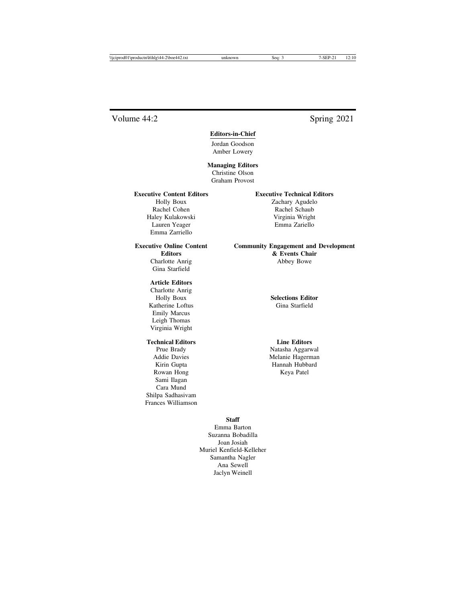## Volume 44:2 Spring 2021

### **Editors-in-Chief**

Jordan Goodson Amber Lowery

**Managing Editors** Christine Olson Graham Provost

Rachel Cohen Rachel Schaub Haley Kulakowski Virginia Wright Lauren Yeager Emma Zariello Emma Zarriello

Gina Starfield

#### **Article Editors**

Charlotte Anrig Katherine Loftus Gina Starfield Emily Marcus Leigh Thomas Virginia Wright

### **Technical Editors Line Editors**

Rowan Hong Keya Patel Sami Ilagan Cara Mund Shilpa Sadhasivam Frances Williamson

### **Executive Content Editors Executive Technical Editors**

Holly Boux Zachary Agudelo

#### **Executive Online Content Community Engagement and Development Editors & Events Chair** Charlotte Anrig Abbey Bowe

Holly Boux **Selections Editor**

Prue Brady Natasha Aggarwal Addie Davies Melanie Hagerman Kirin Gupta **Hannah Hubbard** 

### **Staff**

Emma Barton Suzanna Bobadilla Joan Josiah Muriel Kenfield-Kelleher Samantha Nagler Ana Sewell Jaclyn Weinell